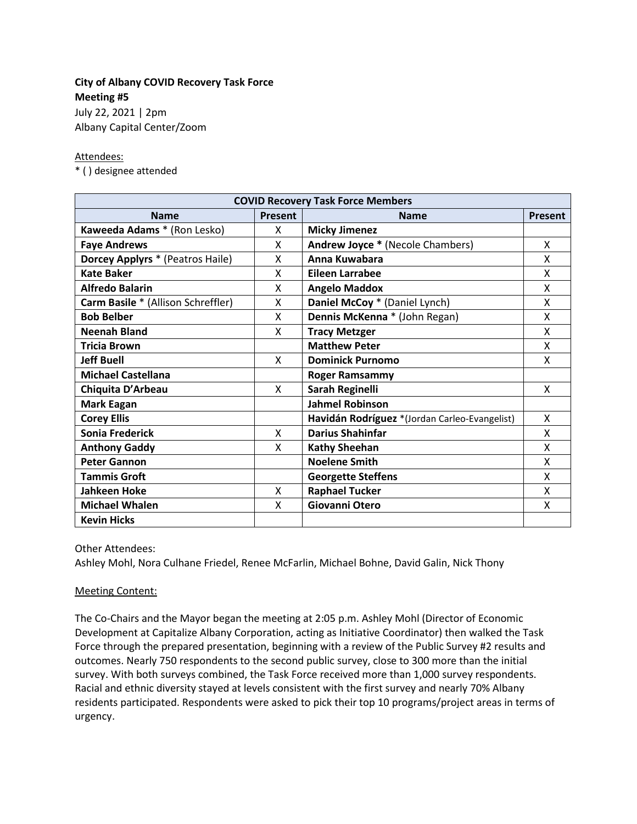## **City of Albany COVID Recovery Task Force Meeting #5**

July 22, 2021 | 2pm Albany Capital Center/Zoom

#### Attendees:

\* ( ) designee attended

| <b>COVID Recovery Task Force Members</b> |         |                                               |         |
|------------------------------------------|---------|-----------------------------------------------|---------|
| <b>Name</b>                              | Present | <b>Name</b>                                   | Present |
| Kaweeda Adams * (Ron Lesko)              | X       | <b>Micky Jimenez</b>                          |         |
| <b>Faye Andrews</b>                      | X       | <b>Andrew Joyce * (Necole Chambers)</b>       | X       |
| Dorcey Applyrs * (Peatros Haile)         | X       | Anna Kuwabara                                 | x       |
| <b>Kate Baker</b>                        | X       | Eileen Larrabee                               | x       |
| <b>Alfredo Balarin</b>                   | X       | <b>Angelo Maddox</b>                          | X       |
| Carm Basile * (Allison Schreffler)       | X       | Daniel McCoy * (Daniel Lynch)                 | X       |
| <b>Bob Belber</b>                        | X       | Dennis McKenna * (John Regan)                 | x       |
| <b>Neenah Bland</b>                      | X       | <b>Tracy Metzger</b>                          | X       |
| <b>Tricia Brown</b>                      |         | <b>Matthew Peter</b>                          | X       |
| <b>Jeff Buell</b>                        | X       | <b>Dominick Purnomo</b>                       | x       |
| <b>Michael Castellana</b>                |         | <b>Roger Ramsammy</b>                         |         |
| Chiquita D'Arbeau                        | X       | Sarah Reginelli                               | X       |
| <b>Mark Eagan</b>                        |         | <b>Jahmel Robinson</b>                        |         |
| <b>Corey Ellis</b>                       |         | Havidán Rodríguez *(Jordan Carleo-Evangelist) | X       |
| <b>Sonia Frederick</b>                   | X       | <b>Darius Shahinfar</b>                       | X       |
| <b>Anthony Gaddy</b>                     | X       | <b>Kathy Sheehan</b>                          | X       |
| <b>Peter Gannon</b>                      |         | <b>Noelene Smith</b>                          | X       |
| <b>Tammis Groft</b>                      |         | <b>Georgette Steffens</b>                     | X       |
| <b>Jahkeen Hoke</b>                      | X       | <b>Raphael Tucker</b>                         | x       |
| <b>Michael Whalen</b>                    | X       | Giovanni Otero                                | X       |
| <b>Kevin Hicks</b>                       |         |                                               |         |

Other Attendees:

Ashley Mohl, Nora Culhane Friedel, Renee McFarlin, Michael Bohne, David Galin, Nick Thony

### Meeting Content:

The Co-Chairs and the Mayor began the meeting at 2:05 p.m. Ashley Mohl (Director of Economic Development at Capitalize Albany Corporation, acting as Initiative Coordinator) then walked the Task Force through the prepared presentation, beginning with a review of the Public Survey #2 results and outcomes. Nearly 750 respondents to the second public survey, close to 300 more than the initial survey. With both surveys combined, the Task Force received more than 1,000 survey respondents. Racial and ethnic diversity stayed at levels consistent with the first survey and nearly 70% Albany residents participated. Respondents were asked to pick their top 10 programs/project areas in terms of urgency.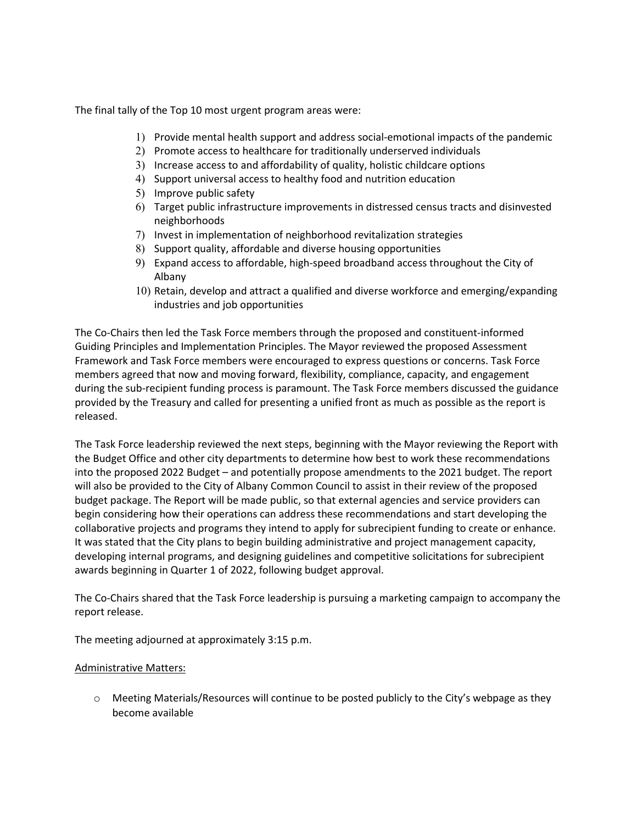The final tally of the Top 10 most urgent program areas were:

- 1) Provide mental health support and address social-emotional impacts of the pandemic
- 2) Promote access to healthcare for traditionally underserved individuals
- 3) Increase access to and affordability of quality, holistic childcare options
- 4) Support universal access to healthy food and nutrition education
- 5) Improve public safety
- 6) Target public infrastructure improvements in distressed census tracts and disinvested neighborhoods
- 7) Invest in implementation of neighborhood revitalization strategies
- 8) Support quality, affordable and diverse housing opportunities
- 9) Expand access to affordable, high-speed broadband access throughout the City of Albany
- 10) Retain, develop and attract a qualified and diverse workforce and emerging/expanding industries and job opportunities

The Co-Chairs then led the Task Force members through the proposed and constituent-informed Guiding Principles and Implementation Principles. The Mayor reviewed the proposed Assessment Framework and Task Force members were encouraged to express questions or concerns. Task Force members agreed that now and moving forward, flexibility, compliance, capacity, and engagement during the sub-recipient funding process is paramount. The Task Force members discussed the guidance provided by the Treasury and called for presenting a unified front as much as possible as the report is released.

The Task Force leadership reviewed the next steps, beginning with the Mayor reviewing the Report with the Budget Office and other city departments to determine how best to work these recommendations into the proposed 2022 Budget – and potentially propose amendments to the 2021 budget. The report will also be provided to the City of Albany Common Council to assist in their review of the proposed budget package. The Report will be made public, so that external agencies and service providers can begin considering how their operations can address these recommendations and start developing the collaborative projects and programs they intend to apply for subrecipient funding to create or enhance. It was stated that the City plans to begin building administrative and project management capacity, developing internal programs, and designing guidelines and competitive solicitations for subrecipient awards beginning in Quarter 1 of 2022, following budget approval.

The Co-Chairs shared that the Task Force leadership is pursuing a marketing campaign to accompany the report release.

The meeting adjourned at approximately 3:15 p.m.

### Administrative Matters:

 $\circ$  Meeting Materials/Resources will continue to be posted publicly to the City's webpage as they become available